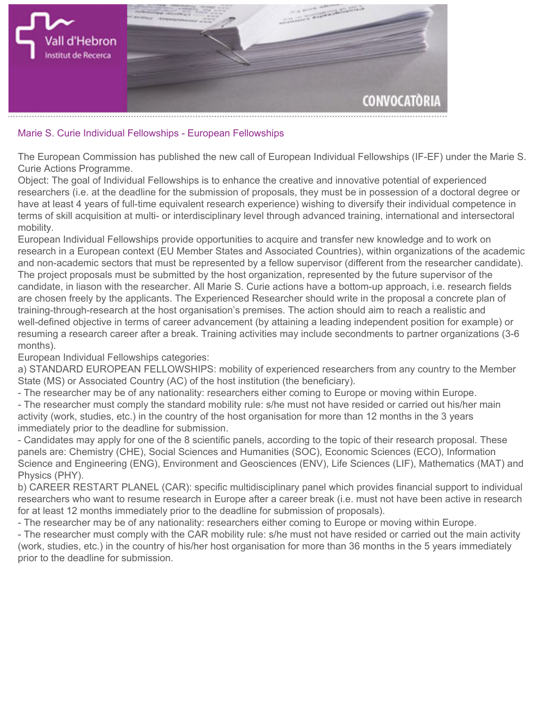

## **Marie S. Curie Individual Fellowships - European Fellowships**

**The European Commission has published the new call of European Individual Fellowships (IF-EF) under the [Marie S.](http://ec.europa.eu/research/participants/data/ref/h2020/wp/2014_2015/main/h2020-wp1415-msca_en.pdf) [Curie Actions Programme.](http://ec.europa.eu/research/participants/data/ref/h2020/wp/2014_2015/main/h2020-wp1415-msca_en.pdf)**

**Object: The goal of Individual Fellowships is to enhance the creative and innovative potential of experienced researchers (i.e. at the deadline for the submission of proposals, they must be in possession of a doctoral degree or have at least 4 years of full-time equivalent research experience) wishing to diversify their individual competence in terms of skill acquisition at multi- or interdisciplinary level through advanced training, international and intersectoral mobility.**

**European Individual Fellowships provide opportunities to acquire and transfer new knowledge and to work on research in a European context (EU Member States and Associated Countries), within organizations of the academic and non-academic sectors that must be represented by a fellow supervisor (different from the researcher candidate). The project proposals must be submitted by the host organization, represented by the future supervisor of the candidate, in liason with the researcher. All Marie S. Curie actions have a bottom-up approach, i.e. research fields are chosen freely by the applicants. The Experienced Researcher should write in the proposal a concrete plan of training-through-research at the host organisation's premises. The action should aim to reach a realistic and well-defined objective in terms of career advancement (by attaining a leading independent position for example) or resuming a research career after a break. Training activities may include secondments to partner organizations (3-6 months).**

**European Individual Fellowships categories:**

**a) STANDARD EUROPEAN FELLOWSHIPS: mobility of experienced researchers from any country to the Member State (MS) or Associated Country (AC) of the host institution (the beneficiary).**

**- The researcher may be of any nationality: researchers either coming to Europe or moving within Europe.**

**- The researcher must comply the standard mobility rule: s/he must not have resided or carried out his/her main activity (work, studies, etc.) in the country of the host organisation for more than 12 months in the 3 years immediately prior to the deadline for submission.**

**- Candidates may apply for one of the 8 scientific panels, according to the topic of their research proposal. These panels are: Chemistry (CHE), Social Sciences and Humanities (SOC), Economic Sciences (ECO), Information Science and Engineering (ENG), Environment and Geosciences (ENV), Life Sciences (LIF), Mathematics (MAT) and Physics (PHY).**

**b) CAREER RESTART PLANEL (CAR): specific multidisciplinary panel which provides financial support to individual researchers who want to resume research in Europe after a career break (i.e. must not have been active in research for at least 12 months immediately prior to the deadline for submission of proposals).**

**- The researcher may be of any nationality: researchers either coming to Europe or moving within Europe.**

**- The researcher must comply with the CAR mobility rule: s/he must not have resided or carried out the main activity (work, studies, etc.) in the country of his/her host organisation for more than 36 months in the 5 years immediately prior to the deadline for submission.**